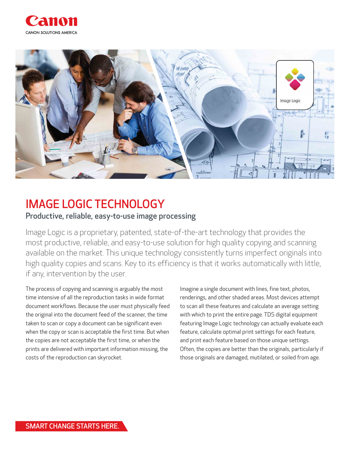



# IMAGE LOGIC TECHNOLOGY

#### Productive, reliable, easy-to-use image processing

Image Logic is a proprietary, patented, state-of-the-art technology that provides the most productive, reliable, and easy-to-use solution for high quality copying and scanning available on the market. This unique technology consistently turns imperfect originals into high quality copies and scans. Key to its efficiency is that it works automatically with little, if any, intervention by the user.

The process of copying and scanning is arguably the most time intensive of all the reproduction tasks in wide format document workflows. Because the user must physically feed the original into the document feed of the scanner, the time taken to scan or copy a document can be significant even when the copy or scan is acceptable the first time. But when the copies are not acceptable the first time, or when the prints are delivered with important information missing, the costs of the reproduction can skyrocket.

Imagine a single document with lines, fine text, photos, renderings, and other shaded areas. Most devices attempt to scan all these features and calculate an average setting with which to print the entire page. TDS digital equipment featuring Image Logic technology can actually evaluate each feature, calculate optimal print settings for each feature, and print each feature based on those unique settings. Often, the copies are better than the originals, particularly if those originals are damaged, mutilated, or soiled from age.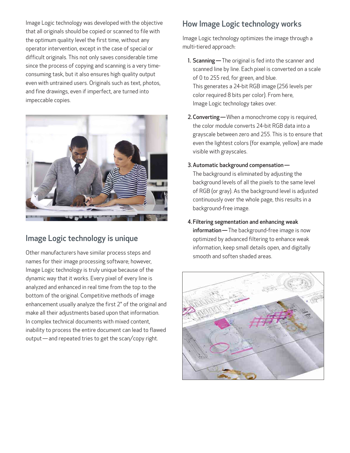Image Logic technology was developed with the objective that all originals should be copied or scanned to file with the optimum quality level the first time, without any operator intervention, except in the case of special or difficult originals. This not only saves considerable time since the process of copying and scanning is a very timeconsuming task, but it also ensures high quality output even with untrained users. Originals such as text, photos, and fine drawings, even if imperfect, are turned into impeccable copies.



### Image Logic technology is unique

Other manufacturers have similar process steps and names for their image processing software; however, Image Logic technology is truly unique because of the dynamic way that it works. Every pixel of every line is analyzed and enhanced in real time from the top to the bottom of the original. Competitive methods of image enhancement usually analyze the first 2" of the original and make all their adjustments based upon that information. In complex technical documents with mixed content, inability to process the entire document can lead to flawed output — and repeated tries to get the scan/copy right.

## How Image Logic technology works

Image Logic technology optimizes the image through a multi-tiered approach:

- 1. Scanning The original is fed into the scanner and scanned line by line. Each pixel is converted on a scale of 0 to 255 red, for green, and blue. This generates a 24-bit RGB image (256 levels per color required 8 bits per color). From here, Image Logic technology takes over.
- 2. Converting When a monochrome copy is required, the color module converts 24-bit RGB data into a grayscale between zero and 255. This is to ensure that even the lightest colors (for example, yellow) are made visible with grayscales.
- 3.Automatic background compensation —

The background is eliminated by adjusting the background levels of all the pixels to the same level of RGB (or gray). As the background level is adjusted continuously over the whole page, this results in a background-free image.

4.Filtering segmentation and enhancing weak information – The background-free image is now optimized by advanced filtering to enhance weak information, keep small details open, and digitally smooth and soften shaded areas.